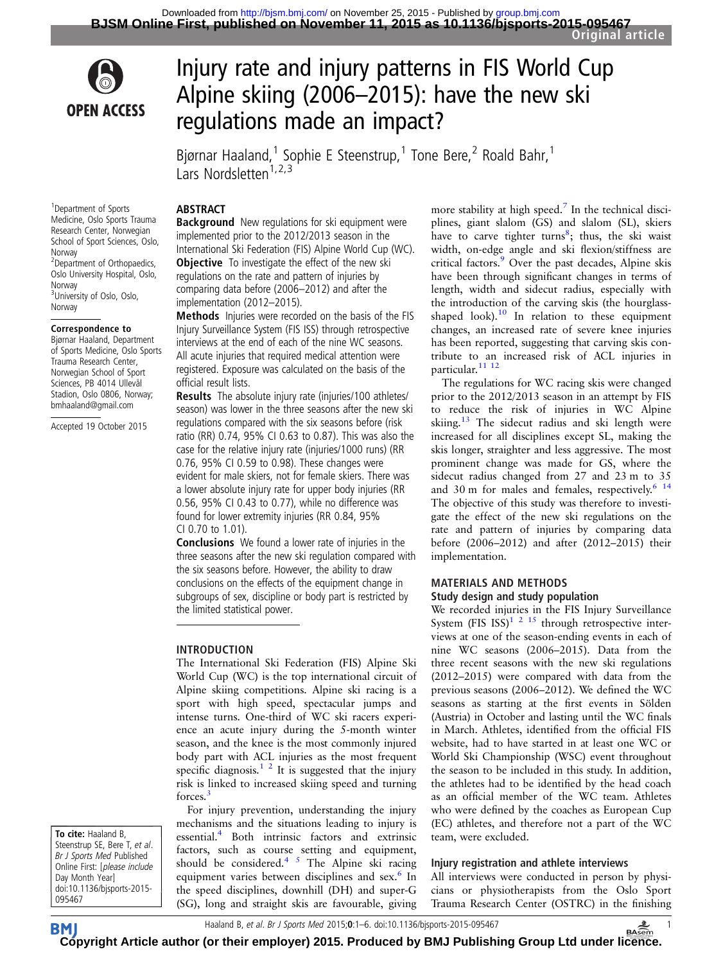



# Injury rate and injury patterns in FIS World Cup Alpine skiing (2006–2015): have the new ski regulations made an impact?

Bjørnar Haaland,<sup>1</sup> Sophie E Steenstrup,<sup>1</sup> Tone Bere,<sup>2</sup> Roald Bahr,<sup>1</sup> Lars Nordsletten<sup>1,2,3</sup>

## ABSTRACT

1 Department of Sports Medicine, Oslo Sports Trauma Research Center, Norwegian School of Sport Sciences, Oslo, Norway <sup>2</sup>Department of Orthopaedics, Oslo University Hospital, Oslo, Norway <sup>3</sup>University of Oslo, Oslo, Norway

### Correspondence to

Bjørnar Haaland, Department of Sports Medicine, Oslo Sports Trauma Research Center, Norwegian School of Sport Sciences, PB 4014 Ullevål Stadion, Oslo 0806, Norway; bmhaaland@gmail.com

Accepted 19 October 2015

**Background** New regulations for ski equipment were implemented prior to the 2012/2013 season in the International Ski Federation (FIS) Alpine World Cup (WC). **Objective** To investigate the effect of the new ski regulations on the rate and pattern of injuries by comparing data before (2006–2012) and after the implementation (2012–2015).

Methods Injuries were recorded on the basis of the FIS Injury Surveillance System (FIS ISS) through retrospective interviews at the end of each of the nine WC seasons. All acute injuries that required medical attention were registered. Exposure was calculated on the basis of the official result lists.

Results The absolute injury rate (injuries/100 athletes/ season) was lower in the three seasons after the new ski regulations compared with the six seasons before (risk ratio (RR) 0.74, 95% CI 0.63 to 0.87). This was also the case for the relative injury rate (injuries/1000 runs) (RR 0.76, 95% CI 0.59 to 0.98). These changes were evident for male skiers, not for female skiers. There was a lower absolute injury rate for upper body injuries (RR 0.56, 95% CI 0.43 to 0.77), while no difference was found for lower extremity injuries (RR 0.84, 95% CI 0.70 to 1.01).

Conclusions We found a lower rate of injuries in the three seasons after the new ski regulation compared with the six seasons before. However, the ability to draw conclusions on the effects of the equipment change in subgroups of sex, discipline or body part is restricted by the limited statistical power.

### INTRODUCTION

The International Ski Federation (FIS) Alpine Ski World Cup (WC) is the top international circuit of Alpine skiing competitions. Alpine ski racing is a sport with high speed, spectacular jumps and intense turns. One-third of WC ski racers experience an acute injury during the 5-month winter season, and the knee is the most commonly injured body part with ACL injuries as the most frequent specific diagnosis.<sup>[1](#page-4-0) [2](#page-5-0)</sup> It is suggested that the injury risk is linked to increased skiing speed and turning forces.<sup>[3](#page-5-0)</sup>

For injury prevention, understanding the injury mechanisms and the situations leading to injury is essential[.4](#page-5-0) Both intrinsic factors and extrinsic factors, such as course setting and equipment, should be considered.<sup>[4 5](#page-5-0)</sup> The Alpine ski racing equipment varies between disciplines and sex.<sup>[6](#page-5-0)</sup> In the speed disciplines, downhill (DH) and super-G (SG), long and straight skis are favourable, giving

more stability at high speed.<sup>[7](#page-5-0)</sup> In the technical disciplines, giant slalom (GS) and slalom (SL), skiers have to carve tighter turns<sup>[8](#page-5-0)</sup>; thus, the ski waist width, on-edge angle and ski flexion/stiffness are critical factors.<sup>[9](#page-5-0)</sup> Over the past decades, Alpine skis have been through significant changes in terms of length, width and sidecut radius, especially with the introduction of the carving skis (the hourglass-shaped look).<sup>[10](#page-5-0)</sup> In relation to these equipment changes, an increased rate of severe knee injuries has been reported, suggesting that carving skis contribute to an increased risk of ACL injuries in particular.<sup>11</sup><sup>12</sup>

The regulations for WC racing skis were changed prior to the 2012/2013 season in an attempt by FIS to reduce the risk of injuries in WC Alpine skiing.<sup>[13](#page-5-0)</sup> The sidecut radius and ski length were increased for all disciplines except SL, making the skis longer, straighter and less aggressive. The most prominent change was made for GS, where the sidecut radius changed from 27 and 23 m to 35 and 30 m for males and females, respectively. $6\frac{14}{6}$ The objective of this study was therefore to investigate the effect of the new ski regulations on the rate and pattern of injuries by comparing data before (2006–2012) and after (2012–2015) their implementation.

## MATERIALS AND METHODS

### Study design and study population

We recorded injuries in the FIS Injury Surveillance System (FIS  $ISS$ )<sup>[1](#page-4-0) [2 15](#page-5-0)</sup> through retrospective interviews at one of the season-ending events in each of nine WC seasons (2006–2015). Data from the three recent seasons with the new ski regulations (2012–2015) were compared with data from the previous seasons (2006–2012). We defined the WC seasons as starting at the first events in Sölden (Austria) in October and lasting until the WC finals in March. Athletes, identified from the official FIS website, had to have started in at least one WC or World Ski Championship (WSC) event throughout the season to be included in this study. In addition, the athletes had to be identified by the head coach as an official member of the WC team. Athletes who were defined by the coaches as European Cup (EC) athletes, and therefore not a part of the WC team, were excluded.

## Injury registration and athlete interviews

All interviews were conducted in person by physicians or physiotherapists from the Oslo Sport Trauma Research Center (OSTRC) in the finishing

To cite: Haaland B, Steenstrup SE, Bere T, et al. Br J Sports Med Published Online First: [please include Day Month Year] doi:10.1136/bjsports-2015- 095467

**BM [Cop](http://bjsm.bmj.com)yright Article author (or their employer) 2015. Produced by BMJ Publishing Group Ltd under li[cenc](http://www.basem.co.uk/)e.**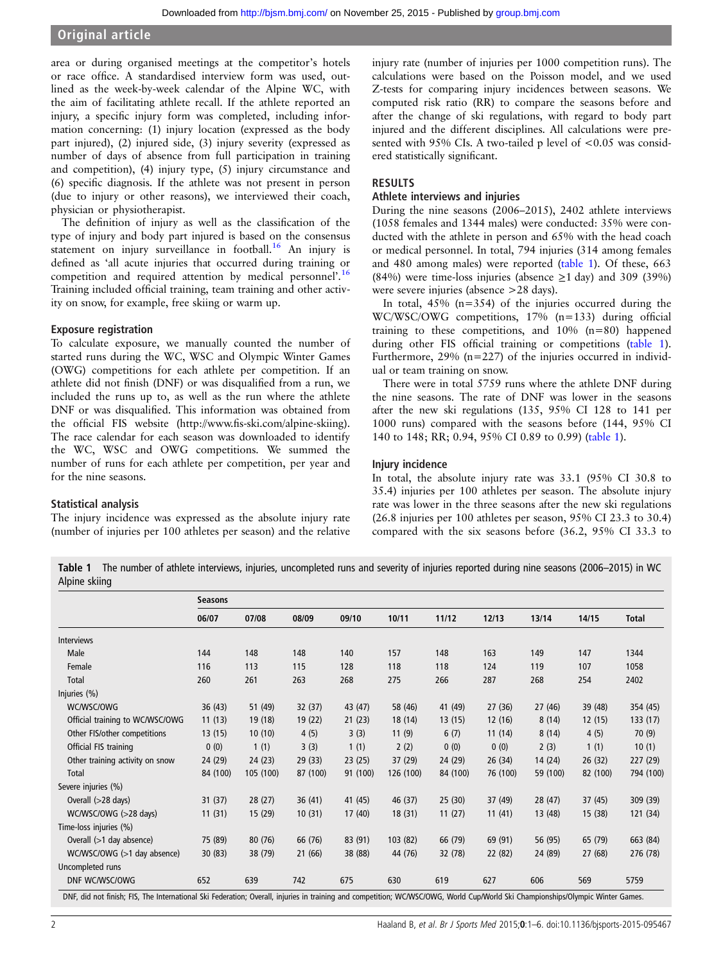area or during organised meetings at the competitor's hotels or race office. A standardised interview form was used, outlined as the week-by-week calendar of the Alpine WC, with the aim of facilitating athlete recall. If the athlete reported an injury, a specific injury form was completed, including information concerning: (1) injury location (expressed as the body part injured), (2) injured side, (3) injury severity (expressed as number of days of absence from full participation in training and competition), (4) injury type, (5) injury circumstance and (6) specific diagnosis. If the athlete was not present in person (due to injury or other reasons), we interviewed their coach, physician or physiotherapist.

The definition of injury as well as the classification of the type of injury and body part injured is based on the consensus statement on injury surveillance in football.<sup>16</sup> An injury is defined as 'all acute injuries that occurred during training or competition and required attention by medical personnel'. [16](#page-5-0) Training included official training, team training and other activity on snow, for example, free skiing or warm up.

### Exposure registration

To calculate exposure, we manually counted the number of started runs during the WC, WSC and Olympic Winter Games (OWG) competitions for each athlete per competition. If an athlete did not finish (DNF) or was disqualified from a run, we included the runs up to, as well as the run where the athlete DNF or was disqualified. This information was obtained from the official FIS website [\(http://www.](http://www.fis-ski.com/alpine-skiing)fi[s-ski.com/alpine-skiing](http://www.fis-ski.com/alpine-skiing)). The race calendar for each season was downloaded to identify the WC, WSC and OWG competitions. We summed the number of runs for each athlete per competition, per year and for the nine seasons.

## injury rate (number of injuries per 1000 competition runs). The calculations were based on the Poisson model, and we used Z-tests for comparing injury incidences between seasons. We computed risk ratio (RR) to compare the seasons before and after the change of ski regulations, with regard to body part injured and the different disciplines. All calculations were presented with 95% CIs. A two-tailed p level of <0.05 was considered statistically significant.

## RESULTS

### Athlete interviews and injuries

During the nine seasons (2006–2015), 2402 athlete interviews (1058 females and 1344 males) were conducted: 35% were conducted with the athlete in person and 65% with the head coach or medical personnel. In total, 794 injuries (314 among females and 480 among males) were reported (table 1). Of these, 663 (84%) were time-loss injuries (absence  $\geq$ 1 day) and 309 (39%) were severe injuries (absence >28 days).

In total,  $45\%$  (n=354) of the injuries occurred during the WC/WSC/OWG competitions, 17% (n=133) during official training to these competitions, and  $10\%$  (n=80) happened during other FIS official training or competitions (table 1). Furthermore, 29% (n=227) of the injuries occurred in individual or team training on snow.

There were in total 5759 runs where the athlete DNF during the nine seasons. The rate of DNF was lower in the seasons after the new ski regulations (135, 95% CI 128 to 141 per 1000 runs) compared with the seasons before (144, 95% CI 140 to 148; RR; 0.94, 95% CI 0.89 to 0.99) (table 1).

### Injury incidence

## Statistical analysis

The injury incidence was expressed as the absolute injury rate (number of injuries per 100 athletes per season) and the relative In total, the absolute injury rate was 33.1 (95% CI 30.8 to 35.4) injuries per 100 athletes per season. The absolute injury rate was lower in the three seasons after the new ski regulations (26.8 injuries per 100 athletes per season, 95% CI 23.3 to 30.4) compared with the six seasons before (36.2, 95% CI 33.3 to

Table 1 The number of athlete interviews, injuries, uncompleted runs and severity of injuries reported during nine seasons (2006–2015) in WC Alpine skiing

|                                 | <b>Seasons</b> |           |          |          |           |          |          |          |          |              |
|---------------------------------|----------------|-----------|----------|----------|-----------|----------|----------|----------|----------|--------------|
|                                 | 06/07          | 07/08     | 08/09    | 09/10    | 10/11     | 11/12    | 12/13    | 13/14    | 14/15    | <b>Total</b> |
| <b>Interviews</b>               |                |           |          |          |           |          |          |          |          |              |
| Male                            | 144            | 148       | 148      | 140      | 157       | 148      | 163      | 149      | 147      | 1344         |
| Female                          | 116            | 113       | 115      | 128      | 118       | 118      | 124      | 119      | 107      | 1058         |
| Total                           | 260            | 261       | 263      | 268      | 275       | 266      | 287      | 268      | 254      | 2402         |
| Injuries (%)                    |                |           |          |          |           |          |          |          |          |              |
| WC/WSC/OWG                      | 36(43)         | 51 (49)   | 32 (37)  | 43 (47)  | 58 (46)   | 41 (49)  | 27(36)   | 27(46)   | 39 (48)  | 354 (45)     |
| Official training to WC/WSC/OWG | 11(13)         | 19 (18)   | 19 (22)  | 21(23)   | 18(14)    | 13(15)   | 12 (16)  | 8(14)    | 12(15)   | 133(17)      |
| Other FIS/other competitions    | 13(15)         | 10(10)    | 4(5)     | 3(3)     | 11(9)     | 6(7)     | 11(14)   | 8(14)    | 4(5)     | 70(9)        |
| Official FIS training           | 0(0)           | 1(1)      | 3(3)     | 1(1)     | 2(2)      | 0(0)     | 0(0)     | 2(3)     | 1(1)     | 10(1)        |
| Other training activity on snow | 24 (29)        | 24(23)    | 29(33)   | 23(25)   | 37 (29)   | 24 (29)  | 26(34)   | 14(24)   | 26(32)   | 227 (29)     |
| Total                           | 84 (100)       | 105 (100) | 87 (100) | 91 (100) | 126 (100) | 84 (100) | 76 (100) | 59 (100) | 82 (100) | 794 (100)    |
| Severe injuries (%)             |                |           |          |          |           |          |          |          |          |              |
| Overall $(>28$ days)            | 31(37)         | 28(27)    | 36(41)   | 41 (45)  | 46 (37)   | 25(30)   | 37 (49)  | 28 (47)  | 37(45)   | 309 (39)     |
| WC/WSC/OWG (>28 days)           | 11(31)         | 15(29)    | 10(31)   | 17(40)   | 18(31)    | 11(27)   | 11(41)   | 13 (48)  | 15(38)   | 121 (34)     |
| Time-loss injuries (%)          |                |           |          |          |           |          |          |          |          |              |
| Overall $(>1$ day absence)      | 75 (89)        | 80(76)    | 66 (76)  | 83 (91)  | 103(82)   | 66 (79)  | 69 (91)  | 56 (95)  | 65 (79)  | 663 (84)     |
| WC/WSC/OWG $(>1$ day absence)   | 30(83)         | 38 (79)   | 21(66)   | 38 (88)  | 44 (76)   | 32(78)   | 22 (82)  | 24 (89)  | 27 (68)  | 276 (78)     |
| Uncompleted runs                |                |           |          |          |           |          |          |          |          |              |
| DNF WC/WSC/OWG                  | 652            | 639       | 742      | 675      | 630       | 619      | 627      | 606      | 569      | 5759         |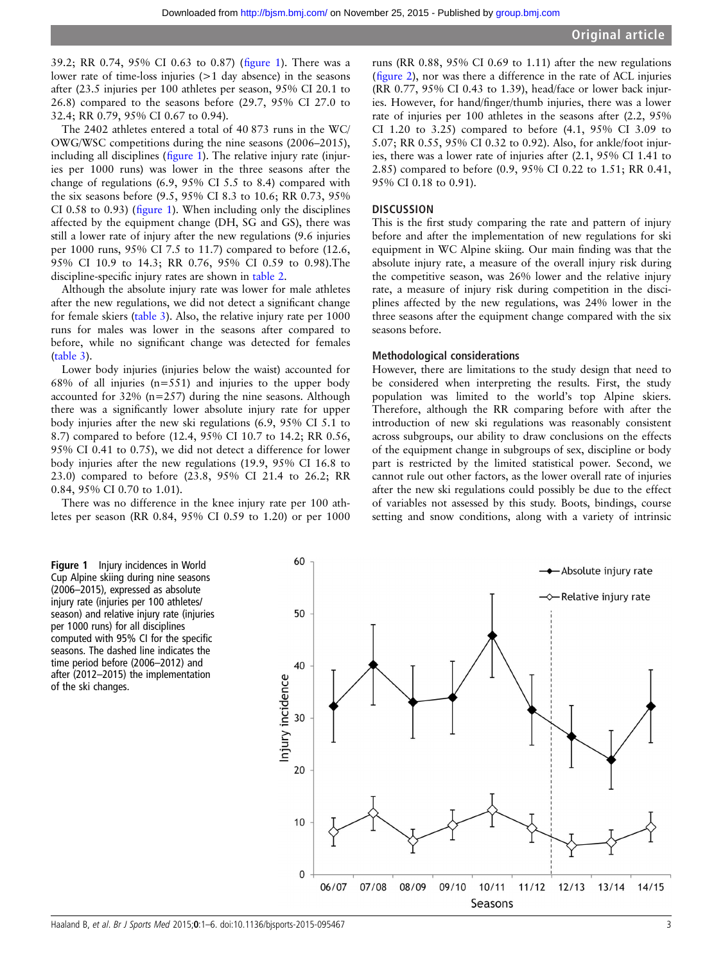39.2; RR 0.74, 95% CI 0.63 to 0.87) (figure 1). There was a lower rate of time-loss injuries (>1 day absence) in the seasons after (23.5 injuries per 100 athletes per season, 95% CI 20.1 to 26.8) compared to the seasons before (29.7, 95% CI 27.0 to 32.4; RR 0.79, 95% CI 0.67 to 0.94).

The 2402 athletes entered a total of 40 873 runs in the WC/ OWG/WSC competitions during the nine seasons (2006–2015), including all disciplines (figure 1). The relative injury rate (injuries per 1000 runs) was lower in the three seasons after the change of regulations (6.9, 95% CI 5.5 to 8.4) compared with the six seasons before (9.5, 95% CI 8.3 to 10.6; RR 0.73, 95% CI 0.58 to 0.93) (figure 1). When including only the disciplines affected by the equipment change (DH, SG and GS), there was still a lower rate of injury after the new regulations (9.6 injuries per 1000 runs, 95% CI 7.5 to 11.7) compared to before (12.6, 95% CI 10.9 to 14.3; RR 0.76, 95% CI 0.59 to 0.98).The discipline-specific injury rates are shown in [table 2](#page-3-0).

Although the absolute injury rate was lower for male athletes after the new regulations, we did not detect a significant change for female skiers ([table 3\)](#page-3-0). Also, the relative injury rate per 1000 runs for males was lower in the seasons after compared to before, while no significant change was detected for females ([table 3\)](#page-3-0).

Lower body injuries (injuries below the waist) accounted for 68% of all injuries (n=551) and injuries to the upper body accounted for 32% (n=257) during the nine seasons. Although there was a significantly lower absolute injury rate for upper body injuries after the new ski regulations (6.9, 95% CI 5.1 to 8.7) compared to before (12.4, 95% CI 10.7 to 14.2; RR 0.56, 95% CI 0.41 to 0.75), we did not detect a difference for lower body injuries after the new regulations (19.9, 95% CI 16.8 to 23.0) compared to before (23.8, 95% CI 21.4 to 26.2; RR 0.84, 95% CI 0.70 to 1.01).

There was no difference in the knee injury rate per 100 athletes per season (RR 0.84, 95% CI 0.59 to 1.20) or per 1000

runs (RR 0.88, 95% CI 0.69 to 1.11) after the new regulations (fi[gure 2\)](#page-4-0), nor was there a difference in the rate of ACL injuries (RR 0.77, 95% CI 0.43 to 1.39), head/face or lower back injuries. However, for hand/finger/thumb injuries, there was a lower rate of injuries per 100 athletes in the seasons after (2.2, 95% CI 1.20 to 3.25) compared to before (4.1, 95% CI 3.09 to 5.07; RR 0.55, 95% CI 0.32 to 0.92). Also, for ankle/foot injuries, there was a lower rate of injuries after (2.1, 95% CI 1.41 to 2.85) compared to before (0.9, 95% CI 0.22 to 1.51; RR 0.41, 95% CI 0.18 to 0.91).

### **DISCUSSION**

This is the first study comparing the rate and pattern of injury before and after the implementation of new regulations for ski equipment in WC Alpine skiing. Our main finding was that the absolute injury rate, a measure of the overall injury risk during the competitive season, was 26% lower and the relative injury rate, a measure of injury risk during competition in the disciplines affected by the new regulations, was 24% lower in the three seasons after the equipment change compared with the six seasons before.

### Methodological considerations

However, there are limitations to the study design that need to be considered when interpreting the results. First, the study population was limited to the world's top Alpine skiers. Therefore, although the RR comparing before with after the introduction of new ski regulations was reasonably consistent across subgroups, our ability to draw conclusions on the effects of the equipment change in subgroups of sex, discipline or body part is restricted by the limited statistical power. Second, we cannot rule out other factors, as the lower overall rate of injuries after the new ski regulations could possibly be due to the effect of variables not assessed by this study. Boots, bindings, course setting and snow conditions, along with a variety of intrinsic

Figure 1 Injury incidences in World Cup Alpine skiing during nine seasons (2006–2015), expressed as absolute injury rate (injuries per 100 athletes/ season) and relative injury rate (injuries per 1000 runs) for all disciplines computed with 95% CI for the specific seasons. The dashed line indicates the time period before (2006–2012) and after (2012–2015) the implementation of the ski changes.

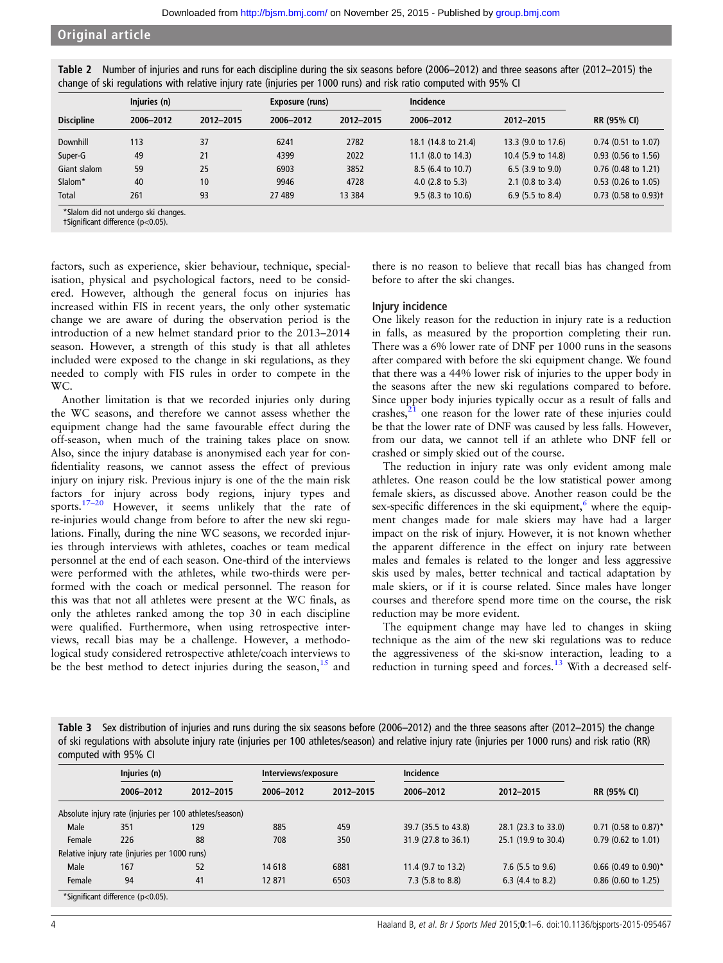|                   | Injuries (n) |           | Exposure (runs) |           | <b>Incidence</b>            |                             |                                    |
|-------------------|--------------|-----------|-----------------|-----------|-----------------------------|-----------------------------|------------------------------------|
| <b>Discipline</b> | 2006-2012    | 2012-2015 | 2006-2012       | 2012-2015 | 2006-2012                   | 2012-2015                   | <b>RR (95% CI)</b>                 |
| Downhill          | 113          | 37        | 6241            | 2782      | 18.1 (14.8 to 21.4)         | 13.3 (9.0 to 17.6)          | $0.74$ (0.51 to 1.07)              |
| Super-G           | 49           | 21        | 4399            | 2022      | 11.1 (8.0 to 14.3)          | 10.4 (5.9 to 14.8)          | $0.93$ (0.56 to 1.56)              |
| Giant slalom      | 59           | 25        | 6903            | 3852      | 8.5 (6.4 to 10.7)           | 6.5 $(3.9 \text{ to } 9.0)$ | $0.76$ (0.48 to 1.21)              |
| Slalom*           | 40           | 10        | 9946            | 4728      | 4.0 $(2.8 \text{ to } 5.3)$ | $2.1$ (0.8 to 3.4)          | $0.53$ (0.26 to 1.05)              |
| Total             | 261          | 93        | 27 489          | 13 3 8 4  | $9.5$ (8.3 to 10.6)         | $6.9$ (5.5 to 8.4)          | $0.73$ (0.58 to 0.93) <sup>+</sup> |

<span id="page-3-0"></span>Table 2 Number of injuries and runs for each discipline during the six seasons before (2006–2012) and three seasons after (2012–2015) the change of ski regulations with relative injury rate (injuries per 1000 runs) and risk ratio computed with 95% CI

†Significant difference (p<0.05).

factors, such as experience, skier behaviour, technique, specialisation, physical and psychological factors, need to be considered. However, although the general focus on injuries has increased within FIS in recent years, the only other systematic change we are aware of during the observation period is the introduction of a new helmet standard prior to the 2013–2014 season. However, a strength of this study is that all athletes included were exposed to the change in ski regulations, as they needed to comply with FIS rules in order to compete in the WC.

Another limitation is that we recorded injuries only during the WC seasons, and therefore we cannot assess whether the equipment change had the same favourable effect during the off-season, when much of the training takes place on snow. Also, since the injury database is anonymised each year for confidentiality reasons, we cannot assess the effect of previous injury on injury risk. Previous injury is one of the the main risk factors for injury across body regions, injury types and sports. $17-20$  $17-20$  However, it seems unlikely that the rate of re-injuries would change from before to after the new ski regulations. Finally, during the nine WC seasons, we recorded injuries through interviews with athletes, coaches or team medical personnel at the end of each season. One-third of the interviews were performed with the athletes, while two-thirds were performed with the coach or medical personnel. The reason for this was that not all athletes were present at the WC finals, as only the athletes ranked among the top 30 in each discipline were qualified. Furthermore, when using retrospective interviews, recall bias may be a challenge. However, a methodological study considered retrospective athlete/coach interviews to be the best method to detect injuries during the season,  $15$  and

there is no reason to believe that recall bias has changed from before to after the ski changes.

### Injury incidence

One likely reason for the reduction in injury rate is a reduction in falls, as measured by the proportion completing their run. There was a 6% lower rate of DNF per 1000 runs in the seasons after compared with before the ski equipment change. We found that there was a 44% lower risk of injuries to the upper body in the seasons after the new ski regulations compared to before. Since upper body injuries typically occur as a result of falls and crashes, $2<sup>1</sup>$  one reason for the lower rate of these injuries could be that the lower rate of DNF was caused by less falls. However, from our data, we cannot tell if an athlete who DNF fell or crashed or simply skied out of the course.

The reduction in injury rate was only evident among male athletes. One reason could be the low statistical power among female skiers, as discussed above. Another reason could be the sex-specific differences in the ski equipment, $6$  where the equipment changes made for male skiers may have had a larger impact on the risk of injury. However, it is not known whether the apparent difference in the effect on injury rate between males and females is related to the longer and less aggressive skis used by males, better technical and tactical adaptation by male skiers, or if it is course related. Since males have longer courses and therefore spend more time on the course, the risk reduction may be more evident.

The equipment change may have led to changes in skiing technique as the aim of the new ski regulations was to reduce the aggressiveness of the ski-snow interaction, leading to a reduction in turning speed and forces.<sup>[13](#page-5-0)</sup> With a decreased self-

Table 3 Sex distribution of injuries and runs during the six seasons before (2006–2012) and the three seasons after (2012–2015) the change of ski regulations with absolute injury rate (injuries per 100 athletes/season) and relative injury rate (injuries per 1000 runs) and risk ratio (RR) computed with 95% CI

|                                               |           |                                                         | Incidence           |                             |                        |
|-----------------------------------------------|-----------|---------------------------------------------------------|---------------------|-----------------------------|------------------------|
| 2006-2012<br>2012-2015                        | 2006-2012 | 2012-2015                                               | 2006-2012           | 2012-2015                   | <b>RR (95% CI)</b>     |
|                                               |           |                                                         |                     |                             |                        |
| 129                                           | 885       | 459                                                     | 39.7 (35.5 to 43.8) | 28.1 (23.3 to 33.0)         | $0.71$ (0.58 to 0.87)* |
| 88<br>226                                     | 708       | 350                                                     | 31.9 (27.8 to 36.1) | 25.1 (19.9 to 30.4)         | $0.79$ (0.62 to 1.01)  |
| Relative injury rate (injuries per 1000 runs) |           |                                                         |                     |                             |                        |
| 52                                            | 14 618    | 6881                                                    | 11.4 (9.7 to 13.2)  | 7.6 $(5.5 \text{ to } 9.6)$ | $0.66$ (0.49 to 0.90)* |
| 41                                            | 12 871    | 6503                                                    | $7.3$ (5.8 to 8.8)  | 6.3 $(4.4 \text{ to } 8.2)$ | $0.86$ (0.60 to 1.25)  |
|                                               |           | Absolute injury rate (injuries per 100 athletes/season) |                     |                             |                        |

\*Significant difference (p<0.05).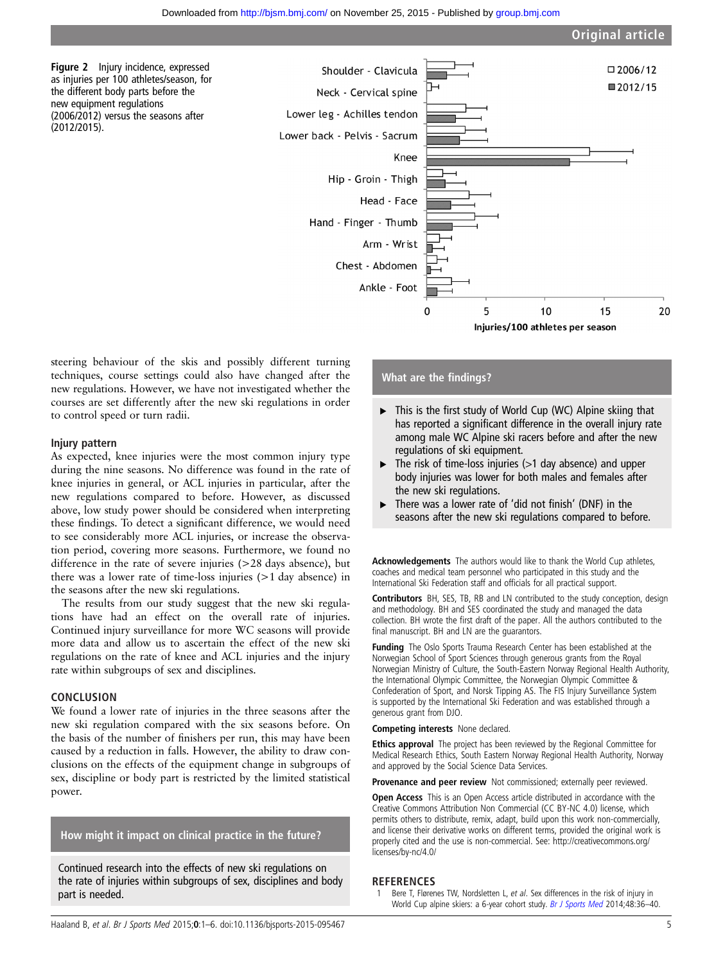<span id="page-4-0"></span>Figure 2 Injury incidence, expressed as injuries per 100 athletes/season, for the different body parts before the new equipment regulations (2006/2012) versus the seasons after (2012/2015).



steering behaviour of the skis and possibly different turning techniques, course settings could also have changed after the new regulations. However, we have not investigated whether the courses are set differently after the new ski regulations in order to control speed or turn radii.

### Injury pattern

As expected, knee injuries were the most common injury type during the nine seasons. No difference was found in the rate of knee injuries in general, or ACL injuries in particular, after the new regulations compared to before. However, as discussed above, low study power should be considered when interpreting these findings. To detect a significant difference, we would need to see considerably more ACL injuries, or increase the observation period, covering more seasons. Furthermore, we found no difference in the rate of severe injuries (>28 days absence), but there was a lower rate of time-loss injuries (>1 day absence) in the seasons after the new ski regulations.

The results from our study suggest that the new ski regulations have had an effect on the overall rate of injuries. Continued injury surveillance for more WC seasons will provide more data and allow us to ascertain the effect of the new ski regulations on the rate of knee and ACL injuries and the injury rate within subgroups of sex and disciplines.

### **CONCLUSION**

We found a lower rate of injuries in the three seasons after the new ski regulation compared with the six seasons before. On the basis of the number of finishers per run, this may have been caused by a reduction in falls. However, the ability to draw conclusions on the effects of the equipment change in subgroups of sex, discipline or body part is restricted by the limited statistical power.

How might it impact on clinical practice in the future?

Continued research into the effects of new ski regulations on the rate of injuries within subgroups of sex, disciplines and body part is needed.

## What are the findings?

- $\triangleright$  This is the first study of World Cup (WC) Alpine skiing that has reported a significant difference in the overall injury rate among male WC Alpine ski racers before and after the new regulations of ski equipment.
- ▶ The risk of time-loss injuries (>1 day absence) and upper body injuries was lower for both males and females after the new ski regulations.
- ▸ There was a lower rate of 'did not finish' (DNF) in the seasons after the new ski regulations compared to before.

Acknowledgements The authors would like to thank the World Cup athletes, coaches and medical team personnel who participated in this study and the International Ski Federation staff and officials for all practical support.

Contributors BH, SES, TB, RB and LN contributed to the study conception, design and methodology. BH and SES coordinated the study and managed the data collection. BH wrote the first draft of the paper. All the authors contributed to the final manuscript. BH and LN are the guarantors.

Funding The Oslo Sports Trauma Research Center has been established at the Norwegian School of Sport Sciences through generous grants from the Royal Norwegian Ministry of Culture, the South-Eastern Norway Regional Health Authority, the International Olympic Committee, the Norwegian Olympic Committee & Confederation of Sport, and Norsk Tipping AS. The FIS Injury Surveillance System is supported by the International Ski Federation and was established through a generous grant from DJO.

#### Competing interests None declared.

Ethics approval The project has been reviewed by the Regional Committee for Medical Research Ethics, South Eastern Norway Regional Health Authority, Norway and approved by the Social Science Data Services.

Provenance and peer review Not commissioned; externally peer reviewed.

Open Access This is an Open Access article distributed in accordance with the Creative Commons Attribution Non Commercial (CC BY-NC 4.0) license, which permits others to distribute, remix, adapt, build upon this work non-commercially, and license their derivative works on different terms, provided the original work is properly cited and the use is non-commercial. See: [http://creativecommons.org/](http://creativecommons.org/licenses/by-nc/4.0/) [licenses/by-nc/4.0/](http://creativecommons.org/licenses/by-nc/4.0/)

#### REFERENCES

Bere T, Flørenes TW, Nordsletten L, et al. Sex differences in the risk of injury in World Cup alpine skiers: a 6-year cohort study. [Br J Sports Med](http://dx.doi.org/10.1136/bjsports-2013-092206) 2014;48:36-40.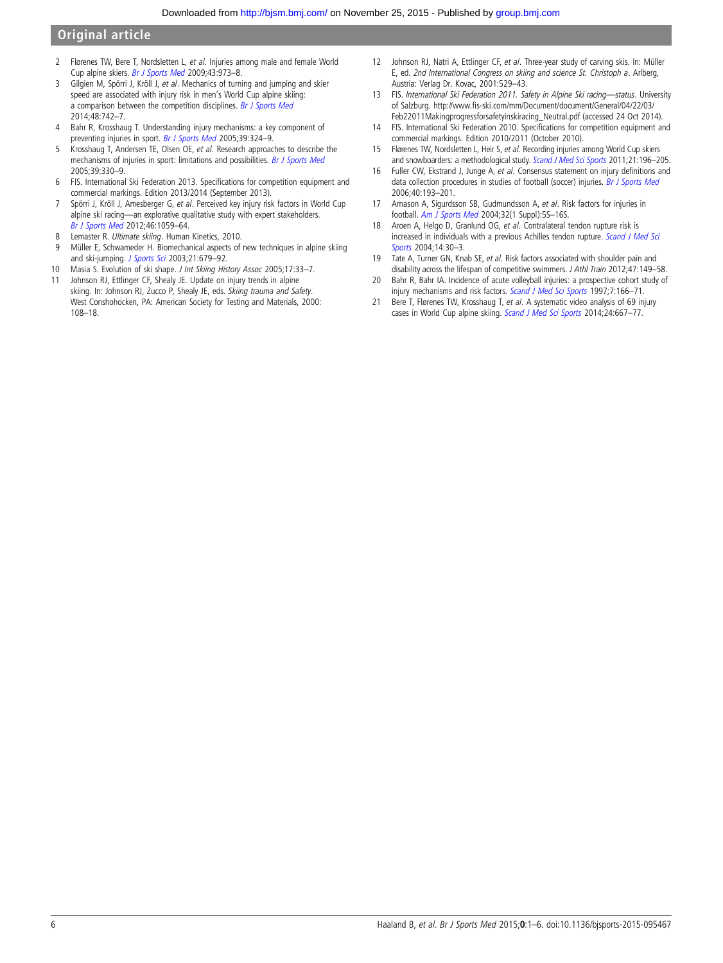- <span id="page-5-0"></span>2 Flørenes TW, Bere T, Nordsletten L, et al. Injuries among male and female World Cup alpine skiers. [Br J Sports Med](http://dx.doi.org/10.1136/bjsm.2009.068759) 2009;43:973–8.
- 3 Gilgien M, Spörri J, Kröll J, et al. Mechanics of turning and jumping and skier speed are associated with injury risk in men's World Cup alpine skiing: a comparison between the competition disciplines. [Br J Sports Med](http://dx.doi.org/10.1136/bjsports-2013-092994) 2014;48:742–7.
- 4 Bahr R, Krosshaug T. Understanding injury mechanisms: a key component of preventing injuries in sport. [Br J Sports Med](http://dx.doi.org/10.1136/bjsm.2005.018341) 2005;39:324-9.
- 5 Krosshaug T, Andersen TE, Olsen OE, et al. Research approaches to describe the mechanisms of injuries in sport: limitations and possibilities. [Br J Sports Med](http://dx.doi.org/10.1136/bjsm.2005.018358) 2005;39:330–9.
- 6 FIS. International Ski Federation 2013. Specifications for competition equipment and commercial markings. Edition 2013/2014 (September 2013).
- 7 Spörri J, Kröll J, Amesberger G, et al. Perceived key injury risk factors in World Cup alpine ski racing—an explorative qualitative study with expert stakeholders. [Br J Sports Med](http://dx.doi.org/10.1136/bjsports-2012-091048) 2012;46:1059–64.
- 8 Lemaster R. Ultimate skiing. Human Kinetics, 2010.
- 9 Müller E, Schwameder H. Biomechanical aspects of new techniques in alpine skiing and ski-jumping. [J Sports Sci](http://dx.doi.org/10.1080/0264041031000140284) 2003;21:679-92.
- 10 Masia S. Evolution of ski shape. J Int Skiing History Assoc 2005;17:33-7. 11 Johnson RJ, Ettlinger CF, Shealy JE. Update on injury trends in alpine skiing. In: Johnson RJ, Zucco P, Shealy JE, eds. Skiing trauma and Safety.
- West Conshohocken, PA: American Society for Testing and Materials, 2000: 108–18.
- 12 Johnson RJ, Natri A, Ettlinger CF, et al. Three-year study of carving skis. In: Müller E, ed. 2nd International Congress on skiing and science St. Christoph a. Arlberg, Austria: Verlag Dr. Kovac, 2001:529–43.
- 13 FIS. International Ski Federation 2011. Safety in Alpine Ski racing-status. University of Salzburg. [http://www.](http://www.fis-ski.com/mm/Document/document/General/04/22/03/Feb22011Makingprogressforsafetyinskiracing_Neutral.pdf)fi[s-ski.com/mm/Document/document/General/04/22/03/](http://www.fis-ski.com/mm/Document/document/General/04/22/03/Feb22011Makingprogressforsafetyinskiracing_Neutral.pdf) [Feb22011Makingprogressforsafetyinskiracing\\_Neutral.pdf](http://www.fis-ski.com/mm/Document/document/General/04/22/03/Feb22011Makingprogressforsafetyinskiracing_Neutral.pdf) (accessed 24 Oct 2014).
- 14 FIS. International Ski Federation 2010. Specifications for competition equipment and commercial markings. Edition 2010/2011 (October 2010).
- 15 Flørenes TW, Nordsletten L, Heir S, et al. Recording injuries among World Cup skiers and snowboarders: a methodological study. [Scand J Med Sci Sports](http://dx.doi.org/10.1111/j.1600-0838.2009.01048.x) 2011;21:196-205.
- 16 Fuller CW, Ekstrand J, Junge A, et al. Consensus statement on injury definitions and data collection procedures in studies of football (soccer) injuries. [Br J Sports Med](http://dx.doi.org/10.1136/bjsm.2005.025270) 2006;40:193–201.
- 17 Arnason A, Sigurdsson SB, Gudmundsson A, et al. Risk factors for injuries in football. [Am J Sports Med](http://dx.doi.org/10.1177/0363546503258912) 2004;32(1 Suppl):5S-16S.
- 18 Aroen A, Helgo D, Granlund OG, et al. Contralateral tendon rupture risk is increased in individuals with a previous Achilles tendon rupture. [Scand J Med Sci](http://dx.doi.org/10.1111/j.1600-0838.2004.00344.x) [Sports](http://dx.doi.org/10.1111/j.1600-0838.2004.00344.x) 2004;14:30–3.
- 19 Tate A, Turner GN, Knab SE, et al. Risk factors associated with shoulder pain and disability across the lifespan of competitive swimmers. J Athl Train 2012;47:149–58.
- 20 Bahr R, Bahr IA. Incidence of acute volleyball injuries: a prospective cohort study of injury mechanisms and risk factors. [Scand J Med Sci Sports](http://dx.doi.org/10.1111/j.1600-0838.1997.tb00134.x) 1997;7:166-71.
- 21 Bere T, Flørenes TW, Krosshaug T, et al. A systematic video analysis of 69 injury cases in World Cup alpine skiing. [Scand J Med Sci Sports](http://dx.doi.org/10.1111/sms.12038) 2014;24:667-77.